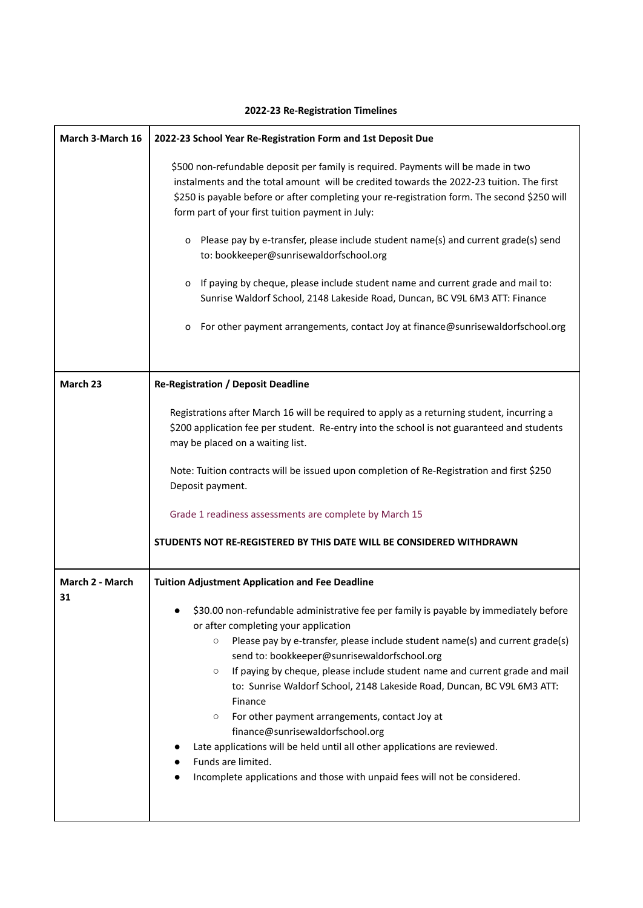| March 3-March 16 | 2022-23 School Year Re-Registration Form and 1st Deposit Due                                                                                                                                                                                                                                                                                                                                                                                                                                                                                                                                                                                                                                                                                |
|------------------|---------------------------------------------------------------------------------------------------------------------------------------------------------------------------------------------------------------------------------------------------------------------------------------------------------------------------------------------------------------------------------------------------------------------------------------------------------------------------------------------------------------------------------------------------------------------------------------------------------------------------------------------------------------------------------------------------------------------------------------------|
|                  | \$500 non-refundable deposit per family is required. Payments will be made in two<br>instalments and the total amount will be credited towards the 2022-23 tuition. The first<br>\$250 is payable before or after completing your re-registration form. The second \$250 will<br>form part of your first tuition payment in July:                                                                                                                                                                                                                                                                                                                                                                                                           |
|                  | Please pay by e-transfer, please include student name(s) and current grade(s) send<br>0<br>to: bookkeeper@sunrisewaldorfschool.org                                                                                                                                                                                                                                                                                                                                                                                                                                                                                                                                                                                                          |
|                  | If paying by cheque, please include student name and current grade and mail to:<br>0<br>Sunrise Waldorf School, 2148 Lakeside Road, Duncan, BC V9L 6M3 ATT: Finance                                                                                                                                                                                                                                                                                                                                                                                                                                                                                                                                                                         |
|                  | For other payment arrangements, contact Joy at finance@sunrisewaldorfschool.org<br>0                                                                                                                                                                                                                                                                                                                                                                                                                                                                                                                                                                                                                                                        |
|                  |                                                                                                                                                                                                                                                                                                                                                                                                                                                                                                                                                                                                                                                                                                                                             |
| March 23         | <b>Re-Registration / Deposit Deadline</b>                                                                                                                                                                                                                                                                                                                                                                                                                                                                                                                                                                                                                                                                                                   |
|                  | Registrations after March 16 will be required to apply as a returning student, incurring a<br>\$200 application fee per student. Re-entry into the school is not guaranteed and students<br>may be placed on a waiting list.                                                                                                                                                                                                                                                                                                                                                                                                                                                                                                                |
|                  | Note: Tuition contracts will be issued upon completion of Re-Registration and first \$250<br>Deposit payment.                                                                                                                                                                                                                                                                                                                                                                                                                                                                                                                                                                                                                               |
|                  | Grade 1 readiness assessments are complete by March 15                                                                                                                                                                                                                                                                                                                                                                                                                                                                                                                                                                                                                                                                                      |
|                  | STUDENTS NOT RE-REGISTERED BY THIS DATE WILL BE CONSIDERED WITHDRAWN                                                                                                                                                                                                                                                                                                                                                                                                                                                                                                                                                                                                                                                                        |
| March 2 - March  | <b>Tuition Adjustment Application and Fee Deadline</b>                                                                                                                                                                                                                                                                                                                                                                                                                                                                                                                                                                                                                                                                                      |
| 31               | \$30.00 non-refundable administrative fee per family is payable by immediately before<br>or after completing your application<br>Please pay by e-transfer, please include student name(s) and current grade(s)<br>$\circ$<br>send to: bookkeeper@sunrisewaldorfschool.org<br>If paying by cheque, please include student name and current grade and mail<br>$\circ$<br>to: Sunrise Waldorf School, 2148 Lakeside Road, Duncan, BC V9L 6M3 ATT:<br>Finance<br>For other payment arrangements, contact Joy at<br>$\circ$<br>finance@sunrisewaldorfschool.org<br>Late applications will be held until all other applications are reviewed.<br>Funds are limited.<br>Incomplete applications and those with unpaid fees will not be considered. |

## **2022-23 Re-Registration Timelines**